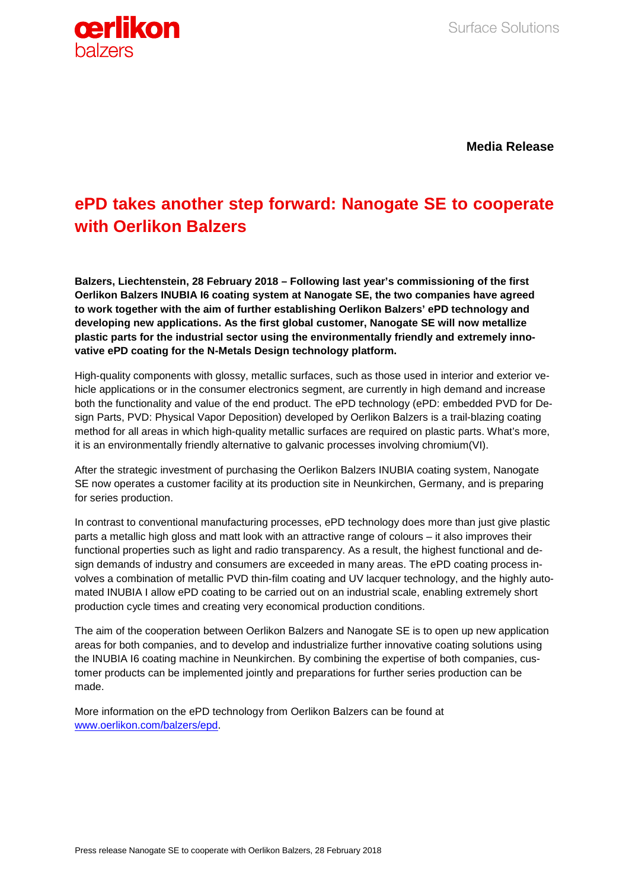

**Media Release**

## **ePD takes another step forward: Nanogate SE to cooperate with Oerlikon Balzers**

**Balzers, Liechtenstein, 28 February 2018 – Following last year's commissioning of the first Oerlikon Balzers INUBIA I6 coating system at Nanogate SE, the two companies have agreed to work together with the aim of further establishing Oerlikon Balzers' ePD technology and developing new applications. As the first global customer, Nanogate SE will now metallize plastic parts for the industrial sector using the environmentally friendly and extremely innovative ePD coating for the N-Metals Design technology platform.** 

High-quality components with glossy, metallic surfaces, such as those used in interior and exterior vehicle applications or in the consumer electronics segment, are currently in high demand and increase both the functionality and value of the end product. The ePD technology (ePD: embedded PVD for Design Parts, PVD: Physical Vapor Deposition) developed by Oerlikon Balzers is a trail-blazing coating method for all areas in which high-quality metallic surfaces are required on plastic parts. What's more, it is an environmentally friendly alternative to galvanic processes involving chromium(VI).

After the strategic investment of purchasing the Oerlikon Balzers INUBIA coating system, Nanogate SE now operates a customer facility at its production site in Neunkirchen, Germany, and is preparing for series production.

In contrast to conventional manufacturing processes, ePD technology does more than just give plastic parts a metallic high gloss and matt look with an attractive range of colours – it also improves their functional properties such as light and radio transparency. As a result, the highest functional and design demands of industry and consumers are exceeded in many areas. The ePD coating process involves a combination of metallic PVD thin-film coating and UV lacquer technology, and the highly automated INUBIA I allow ePD coating to be carried out on an industrial scale, enabling extremely short production cycle times and creating very economical production conditions.

The aim of the cooperation between Oerlikon Balzers and Nanogate SE is to open up new application areas for both companies, and to develop and industrialize further innovative coating solutions using the INUBIA I6 coating machine in Neunkirchen. By combining the expertise of both companies, customer products can be implemented jointly and preparations for further series production can be made.

More information on the ePD technology from Oerlikon Balzers can be found at [www.oerlikon.com/balzers/epd.](http://www.oerlikon.com/balzers/epd)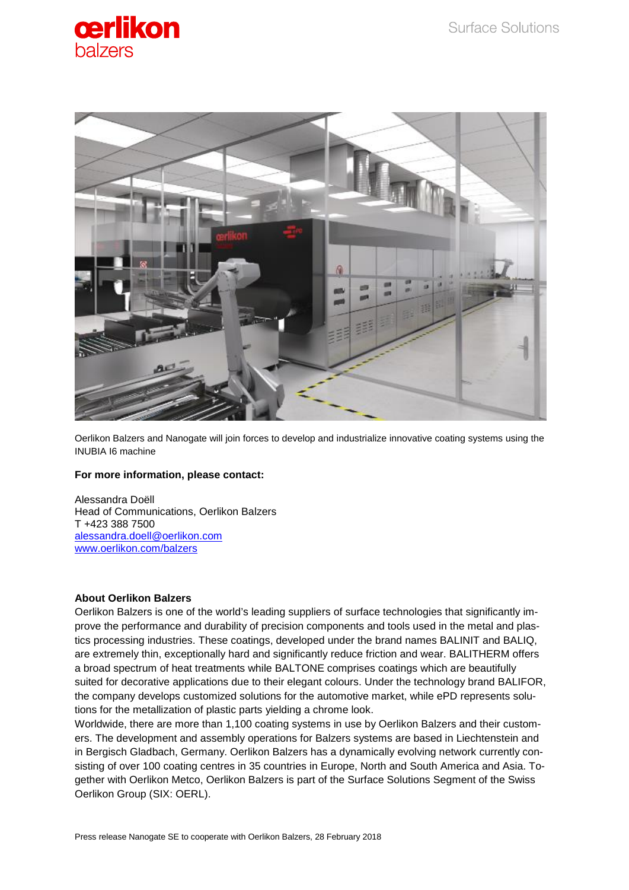



Oerlikon Balzers and Nanogate will join forces to develop and industrialize innovative coating systems using the INUBIA I6 machine

## **For more information, please contact:**

Alessandra Doëll Head of Communications, Oerlikon Balzers T +423 388 7500 [alessandra.doell@oerlikon.com](mailto:alessandra.doell@oerlikon.com) [www.oerlikon.com/balzers](http://www.oerlikon.com/balzers)

## **About Oerlikon Balzers**

Oerlikon Balzers is one of the world's leading suppliers of surface technologies that significantly improve the performance and durability of precision components and tools used in the metal and plastics processing industries. These coatings, developed under the brand names BALINIT and BALIQ, are extremely thin, exceptionally hard and significantly reduce friction and wear. BALITHERM offers a broad spectrum of heat treatments while BALTONE comprises coatings which are beautifully suited for decorative applications due to their elegant colours. Under the technology brand BALIFOR, the company develops customized solutions for the automotive market, while ePD represents solutions for the metallization of plastic parts yielding a chrome look.

Worldwide, there are more than 1,100 coating systems in use by Oerlikon Balzers and their customers. The development and assembly operations for Balzers systems are based in Liechtenstein and in Bergisch Gladbach, Germany. Oerlikon Balzers has a dynamically evolving network currently consisting of over 100 coating centres in 35 countries in Europe, North and South America and Asia. Together with Oerlikon Metco, Oerlikon Balzers is part of the Surface Solutions Segment of the Swiss Oerlikon Group (SIX: OERL).